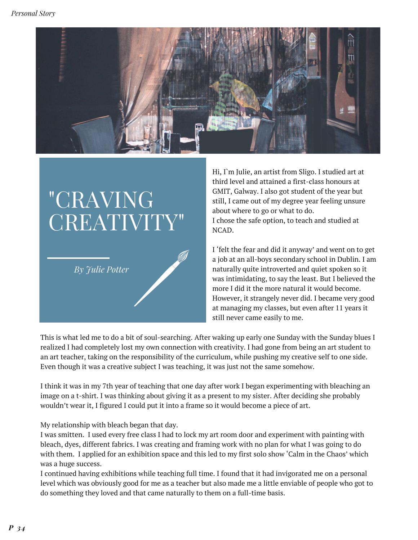

## "CRAVING CREATIVITY"

*By Julie Potter*

Hi, I`m Julie, an artist from Sligo. I studied art at third level and attained a first-class honours at GMIT, Galway. I also got student of the year but still, I came out of my degree year feeling unsure about where to go or what to do. I chose the safe option, to teach and studied at NCAD.

I 'felt the fear and did it anyway' and went on to get a job at an all-boys secondary school in Dublin. I am naturally quite introverted and quiet spoken so it was intimidating, to say the least. But I believed the more I did it the more natural it would become. However, it strangely never did. I became very good at managing my classes, but even after 11 years it still never came easily to me.

This is what led me to do a bit of soul-searching. After waking up early one Sunday with the Sunday blues I realized I had completely lost my own connection with creativity. I had gone from being an art student to an art teacher, taking on the responsibility of the curriculum, while pushing my creative self to one side. Even though it was a creative subject I was teaching, it was just not the same somehow.

I think it was in my 7th year of teaching that one day after work I began experimenting with bleaching an image on a t-shirt. I was thinking about giving it as a present to my sister. After deciding she probably wouldn't wear it, I figured I could put it into a frame so it would become a piece of art.

My relationship with bleach began that day.

I was smitten. I used every free class I had to lock my art room door and experiment with painting with bleach, dyes, different fabrics. I was creating and framing work with no plan for what I was going to do with them. I applied for an exhibition space and this led to my first solo show 'Calm in the Chaos' which was a huge success.

I continued having exhibitions while teaching full time. I found that it had invigorated me on a personal level which was obviously good for me as a teacher but also made me a little enviable of people who got to do something they loved and that came naturally to them on a full-time basis.